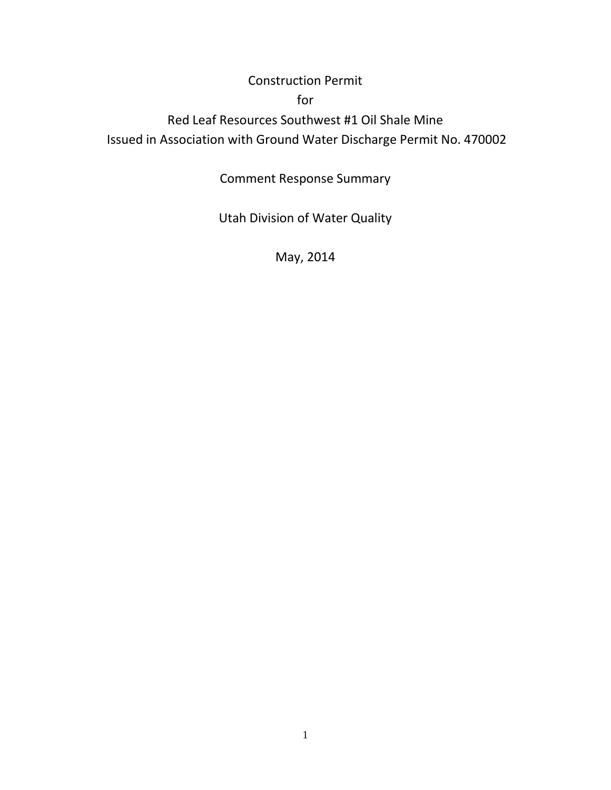## Construction Permit

## for

Red Leaf Resources Southwest #1 Oil Shale Mine Issued in Association with Ground Water Discharge Permit No. 470002

Comment Response Summary

Utah Division of Water Quality

May, 2014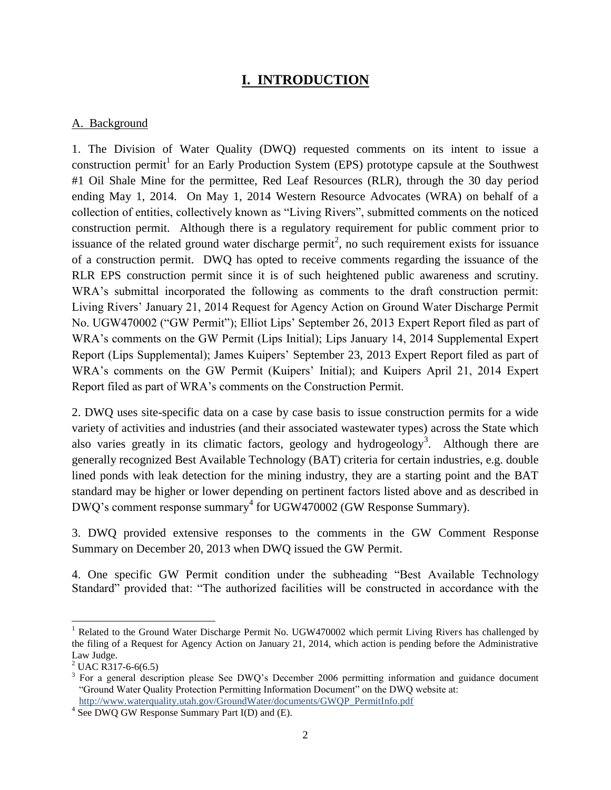## **I. INTRODUCTION**

#### A. Background

1. The Division of Water Quality (DWQ) requested comments on its intent to issue a construction permit<sup>1</sup> for an Early Production System (EPS) prototype capsule at the Southwest #1 Oil Shale Mine for the permittee, Red Leaf Resources (RLR), through the 30 day period ending May 1, 2014. On May 1, 2014 Western Resource Advocates (WRA) on behalf of a collection of entities, collectively known as "Living Rivers", submitted comments on the noticed construction permit. Although there is a regulatory requirement for public comment prior to issuance of the related ground water discharge permit<sup>2</sup>, no such requirement exists for issuance of a construction permit. DWQ has opted to receive comments regarding the issuance of the RLR EPS construction permit since it is of such heightened public awareness and scrutiny. WRA's submittal incorporated the following as comments to the draft construction permit: Living Rivers' January 21, 2014 Request for Agency Action on Ground Water Discharge Permit No. UGW470002 ("GW Permit"); Elliot Lips' September 26, 2013 Expert Report filed as part of WRA's comments on the GW Permit (Lips Initial); Lips January 14, 2014 Supplemental Expert Report (Lips Supplemental); James Kuipers' September 23, 2013 Expert Report filed as part of WRA's comments on the GW Permit (Kuipers' Initial); and Kuipers April 21, 2014 Expert Report filed as part of WRA's comments on the Construction Permit.

2. DWQ uses site-specific data on a case by case basis to issue construction permits for a wide variety of activities and industries (and their associated wastewater types) across the State which also varies greatly in its climatic factors, geology and hydrogeology<sup>3</sup>. Although there are generally recognized Best Available Technology (BAT) criteria for certain industries, e.g. double lined ponds with leak detection for the mining industry, they are a starting point and the BAT standard may be higher or lower depending on pertinent factors listed above and as described in DWQ's comment response summary 4 for UGW470002 (GW Response Summary).

3. DWQ provided extensive responses to the comments in the GW Comment Response Summary on December 20, 2013 when DWQ issued the GW Permit.

4. One specific GW Permit condition under the subheading "Best Available Technology Standard" provided that: "The authorized facilities will be constructed in accordance with the

l

<sup>&</sup>lt;sup>1</sup> Related to the Ground Water Discharge Permit No. UGW470002 which permit Living Rivers has challenged by the filing of a Request for Agency Action on January 21, 2014, which action is pending before the Administrative Law Judge.

 $^{2}$  UAC R317-6-6(6.5)

 $3$  For a general description please See DWQ's December 2006 permitting information and guidance document "Ground Water Quality Protection Permitting Information Document" on the DWQ website at: http://www.waterquality.utah.gov/GroundWater/documents/GWQP\_PermitInfo.pdf

<sup>&</sup>lt;sup>4</sup> See DWQ GW Response Summary Part I(D) and (E).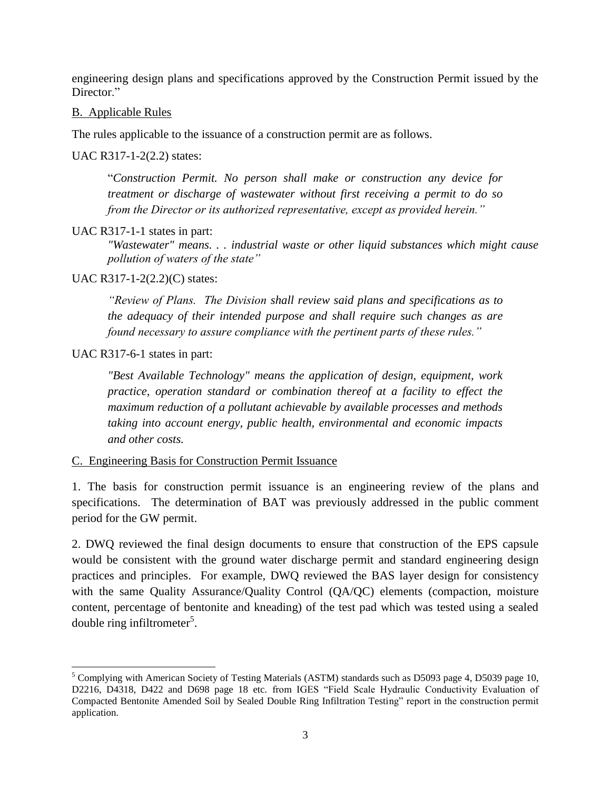engineering design plans and specifications approved by the Construction Permit issued by the Director<sup>"</sup>

#### B. Applicable Rules

The rules applicable to the issuance of a construction permit are as follows.

#### UAC R317-1-2(2.2) states:

"*Construction Permit. No person shall make or construction any device for treatment or discharge of wastewater without first receiving a permit to do so from the Director or its authorized representative, except as provided herein."*

#### UAC R317-1-1 states in part:

*"Wastewater" means. . . industrial waste or other liquid substances which might cause pollution of waters of the state"*

#### UAC R317-1-2(2.2)(C) states:

*"Review of Plans. The Division shall review said plans and specifications as to the adequacy of their intended purpose and shall require such changes as are found necessary to assure compliance with the pertinent parts of these rules."*

UAC R317-6-1 states in part:

 $\overline{a}$ 

*"Best Available Technology" means the application of design, equipment, work practice, operation standard or combination thereof at a facility to effect the maximum reduction of a pollutant achievable by available processes and methods taking into account energy, public health, environmental and economic impacts and other costs.*

C. Engineering Basis for Construction Permit Issuance

1. The basis for construction permit issuance is an engineering review of the plans and specifications. The determination of BAT was previously addressed in the public comment period for the GW permit.

2. DWQ reviewed the final design documents to ensure that construction of the EPS capsule would be consistent with the ground water discharge permit and standard engineering design practices and principles. For example, DWQ reviewed the BAS layer design for consistency with the same Quality Assurance/Quality Control (QA/QC) elements (compaction, moisture content, percentage of bentonite and kneading) of the test pad which was tested using a sealed double ring infiltrometer<sup>5</sup>.

<sup>&</sup>lt;sup>5</sup> Complying with American Society of Testing Materials (ASTM) standards such as D5093 page 4, D5039 page 10, D2216, D4318, D422 and D698 page 18 etc. from IGES "Field Scale Hydraulic Conductivity Evaluation of Compacted Bentonite Amended Soil by Sealed Double Ring Infiltration Testing" report in the construction permit application.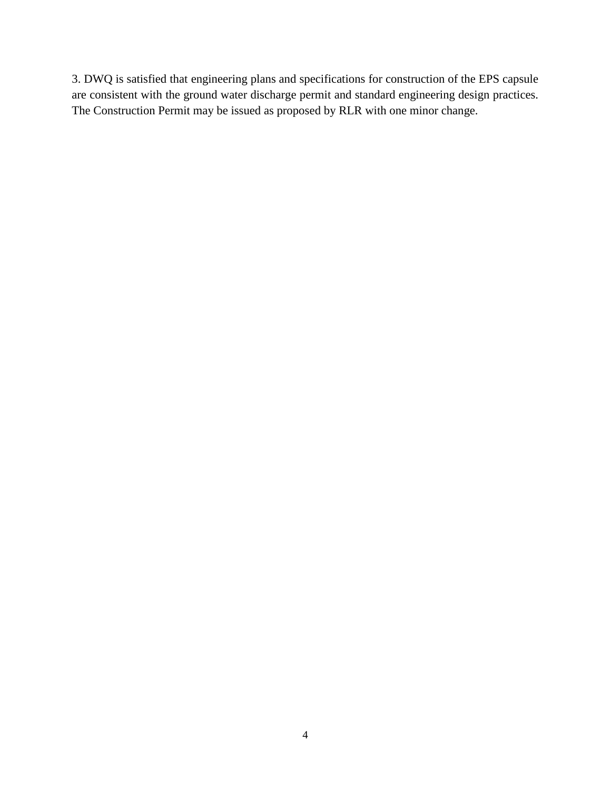3. DWQ is satisfied that engineering plans and specifications for construction of the EPS capsule are consistent with the ground water discharge permit and standard engineering design practices. The Construction Permit may be issued as proposed by RLR with one minor change.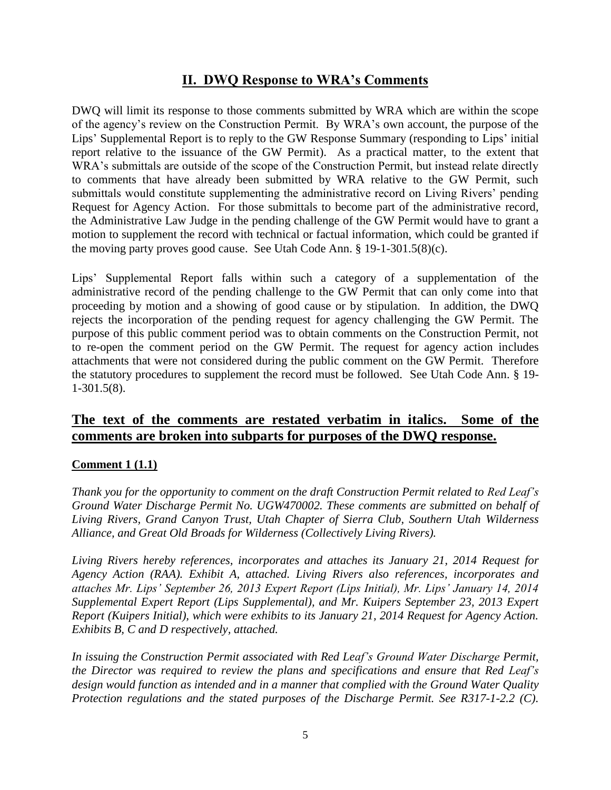## **II. DWQ Response to WRA's Comments**

DWQ will limit its response to those comments submitted by WRA which are within the scope of the agency's review on the Construction Permit. By WRA's own account, the purpose of the Lips' Supplemental Report is to reply to the GW Response Summary (responding to Lips' initial report relative to the issuance of the GW Permit). As a practical matter, to the extent that WRA's submittals are outside of the scope of the Construction Permit, but instead relate directly to comments that have already been submitted by WRA relative to the GW Permit, such submittals would constitute supplementing the administrative record on Living Rivers' pending Request for Agency Action. For those submittals to become part of the administrative record, the Administrative Law Judge in the pending challenge of the GW Permit would have to grant a motion to supplement the record with technical or factual information, which could be granted if the moving party proves good cause. See Utah Code Ann. § 19-1-301.5(8)(c).

Lips' Supplemental Report falls within such a category of a supplementation of the administrative record of the pending challenge to the GW Permit that can only come into that proceeding by motion and a showing of good cause or by stipulation. In addition, the DWQ rejects the incorporation of the pending request for agency challenging the GW Permit. The purpose of this public comment period was to obtain comments on the Construction Permit, not to re-open the comment period on the GW Permit. The request for agency action includes attachments that were not considered during the public comment on the GW Permit. Therefore the statutory procedures to supplement the record must be followed. See Utah Code Ann. § 19- 1-301.5(8).

## **The text of the comments are restated verbatim in italics. Some of the comments are broken into subparts for purposes of the DWQ response.**

## **Comment 1 (1.1)**

*Thank you for the opportunity to comment on the draft Construction Permit related to Red Leaf's Ground Water Discharge Permit No. UGW470002. These comments are submitted on behalf of Living Rivers, Grand Canyon Trust, Utah Chapter of Sierra Club, Southern Utah Wilderness Alliance, and Great Old Broads for Wilderness (Collectively Living Rivers).*

*Living Rivers hereby references, incorporates and attaches its January 21, 2014 Request for Agency Action (RAA). Exhibit A, attached. Living Rivers also references, incorporates and attaches Mr. Lips' September 26, 2013 Expert Report (Lips Initial), Mr. Lips' January 14, 2014 Supplemental Expert Report (Lips Supplemental), and Mr. Kuipers September 23, 2013 Expert Report (Kuipers Initial), which were exhibits to its January 21, 2014 Request for Agency Action. Exhibits B, C and D respectively, attached.*

*In issuing the Construction Permit associated with Red Leaf's Ground Water Discharge Permit, the Director was required to review the plans and specifications and ensure that Red Leaf's design would function as intended and in a manner that complied with the Ground Water Quality Protection regulations and the stated purposes of the Discharge Permit. See R317-1-2.2 (C).*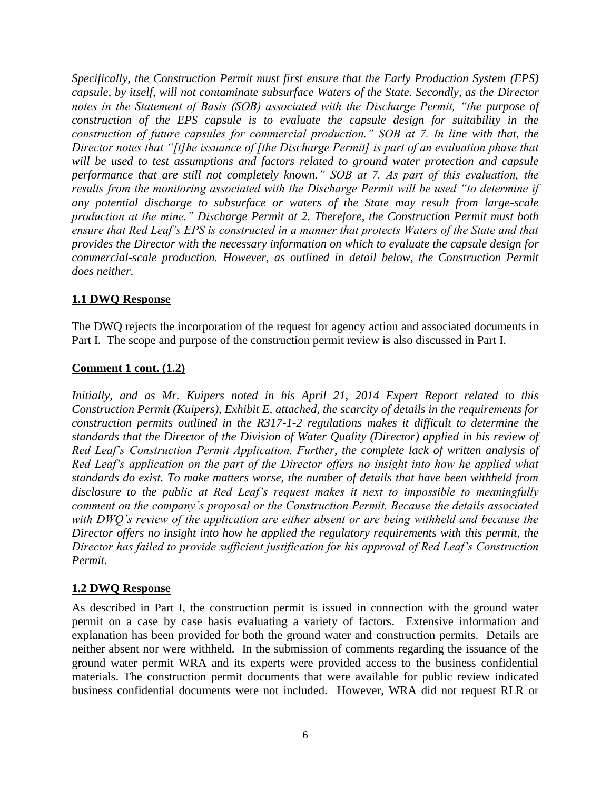*Specifically, the Construction Permit must first ensure that the Early Production System (EPS) capsule, by itself, will not contaminate subsurface Waters of the State. Secondly, as the Director notes in the Statement of Basis (SOB) associated with the Discharge Permit, "the purpose of construction of the EPS capsule is to evaluate the capsule design for suitability in the construction of future capsules for commercial production." SOB at 7. In line with that, the Director notes that "[t]he issuance of [the Discharge Permit] is part of an evaluation phase that will be used to test assumptions and factors related to ground water protection and capsule performance that are still not completely known." SOB at 7. As part of this evaluation, the results from the monitoring associated with the Discharge Permit will be used "to determine if any potential discharge to subsurface or waters of the State may result from large-scale production at the mine." Discharge Permit at 2. Therefore, the Construction Permit must both ensure that Red Leaf's EPS is constructed in a manner that protects Waters of the State and that provides the Director with the necessary information on which to evaluate the capsule design for commercial-scale production. However, as outlined in detail below, the Construction Permit does neither.*

## **1.1 DWQ Response**

The DWQ rejects the incorporation of the request for agency action and associated documents in Part I. The scope and purpose of the construction permit review is also discussed in Part I.

#### **Comment 1 cont. (1.2)**

*Initially, and as Mr. Kuipers noted in his April 21, 2014 Expert Report related to this Construction Permit (Kuipers), Exhibit E, attached, the scarcity of details in the requirements for construction permits outlined in the R317-1-2 regulations makes it difficult to determine the standards that the Director of the Division of Water Quality (Director) applied in his review of Red Leaf's Construction Permit Application. Further, the complete lack of written analysis of Red Leaf's application on the part of the Director offers no insight into how he applied what standards do exist. To make matters worse, the number of details that have been withheld from disclosure to the public at Red Leaf's request makes it next to impossible to meaningfully comment on the company's proposal or the Construction Permit. Because the details associated with DWQ's review of the application are either absent or are being withheld and because the Director offers no insight into how he applied the regulatory requirements with this permit, the Director has failed to provide sufficient justification for his approval of Red Leaf's Construction Permit.*

#### **1.2 DWQ Response**

As described in Part I, the construction permit is issued in connection with the ground water permit on a case by case basis evaluating a variety of factors. Extensive information and explanation has been provided for both the ground water and construction permits. Details are neither absent nor were withheld. In the submission of comments regarding the issuance of the ground water permit WRA and its experts were provided access to the business confidential materials. The construction permit documents that were available for public review indicated business confidential documents were not included. However, WRA did not request RLR or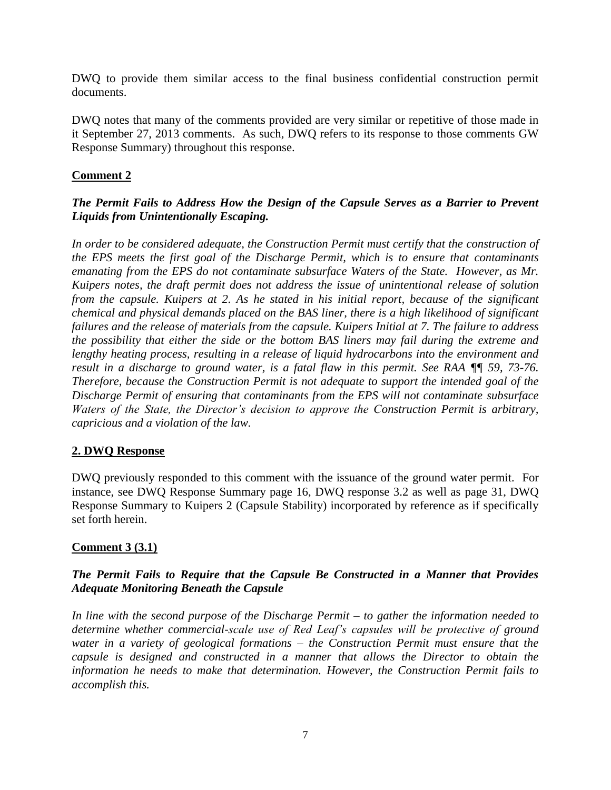DWQ to provide them similar access to the final business confidential construction permit documents.

DWQ notes that many of the comments provided are very similar or repetitive of those made in it September 27, 2013 comments. As such, DWQ refers to its response to those comments GW Response Summary) throughout this response.

### **Comment 2**

## *The Permit Fails to Address How the Design of the Capsule Serves as a Barrier to Prevent Liquids from Unintentionally Escaping.*

*In order to be considered adequate, the Construction Permit must certify that the construction of the EPS meets the first goal of the Discharge Permit, which is to ensure that contaminants emanating from the EPS do not contaminate subsurface Waters of the State. However, as Mr. Kuipers notes, the draft permit does not address the issue of unintentional release of solution from the capsule. Kuipers at 2. As he stated in his initial report, because of the significant chemical and physical demands placed on the BAS liner, there is a high likelihood of significant failures and the release of materials from the capsule. Kuipers Initial at 7. The failure to address the possibility that either the side or the bottom BAS liners may fail during the extreme and lengthy heating process, resulting in a release of liquid hydrocarbons into the environment and result in a discharge to ground water, is a fatal flaw in this permit. See RAA ¶¶ 59, 73-76. Therefore, because the Construction Permit is not adequate to support the intended goal of the Discharge Permit of ensuring that contaminants from the EPS will not contaminate subsurface Waters of the State, the Director's decision to approve the Construction Permit is arbitrary, capricious and a violation of the law.*

## **2. DWQ Response**

DWQ previously responded to this comment with the issuance of the ground water permit. For instance, see DWQ Response Summary page 16, DWQ response 3.2 as well as page 31, DWQ Response Summary to Kuipers 2 (Capsule Stability) incorporated by reference as if specifically set forth herein.

## **Comment 3 (3.1)**

## *The Permit Fails to Require that the Capsule Be Constructed in a Manner that Provides Adequate Monitoring Beneath the Capsule*

*In line with the second purpose of the Discharge Permit – to gather the information needed to determine whether commercial-scale use of Red Leaf's capsules will be protective of ground water in a variety of geological formations – the Construction Permit must ensure that the capsule is designed and constructed in a manner that allows the Director to obtain the information he needs to make that determination. However, the Construction Permit fails to accomplish this.*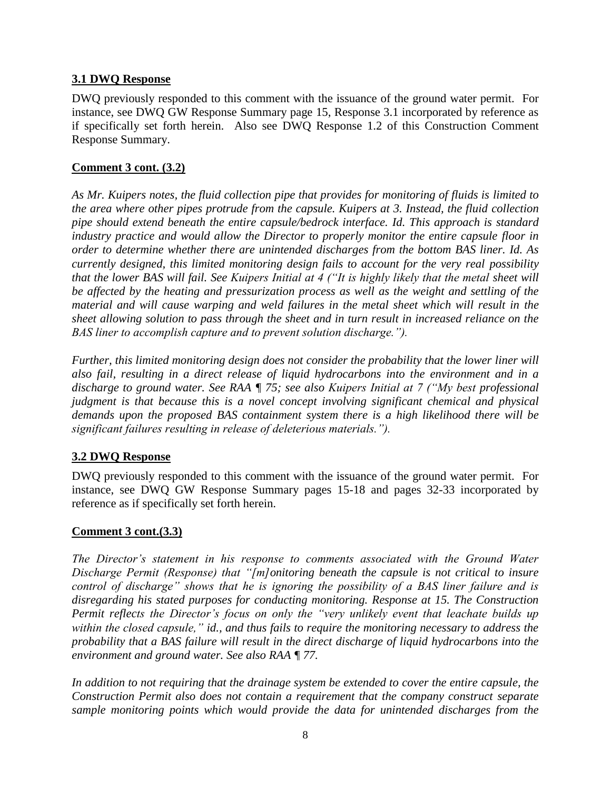## **3.1 DWQ Response**

DWQ previously responded to this comment with the issuance of the ground water permit. For instance, see DWQ GW Response Summary page 15, Response 3.1 incorporated by reference as if specifically set forth herein. Also see DWQ Response 1.2 of this Construction Comment Response Summary.

## **Comment 3 cont. (3.2)**

*As Mr. Kuipers notes, the fluid collection pipe that provides for monitoring of fluids is limited to the area where other pipes protrude from the capsule. Kuipers at 3. Instead, the fluid collection pipe should extend beneath the entire capsule/bedrock interface. Id. This approach is standard industry practice and would allow the Director to properly monitor the entire capsule floor in order to determine whether there are unintended discharges from the bottom BAS liner. Id. As currently designed, this limited monitoring design fails to account for the very real possibility that the lower BAS will fail. See Kuipers Initial at 4 ("It is highly likely that the metal sheet will be affected by the heating and pressurization process as well as the weight and settling of the material and will cause warping and weld failures in the metal sheet which will result in the sheet allowing solution to pass through the sheet and in turn result in increased reliance on the BAS liner to accomplish capture and to prevent solution discharge.").*

*Further, this limited monitoring design does not consider the probability that the lower liner will also fail, resulting in a direct release of liquid hydrocarbons into the environment and in a discharge to ground water. See RAA ¶ 75; see also Kuipers Initial at 7 ("My best professional judgment is that because this is a novel concept involving significant chemical and physical demands upon the proposed BAS containment system there is a high likelihood there will be significant failures resulting in release of deleterious materials.").*

## **3.2 DWQ Response**

DWQ previously responded to this comment with the issuance of the ground water permit. For instance, see DWQ GW Response Summary pages 15-18 and pages 32-33 incorporated by reference as if specifically set forth herein.

## **Comment 3 cont.(3.3)**

*The Director's statement in his response to comments associated with the Ground Water Discharge Permit (Response) that "[m]onitoring beneath the capsule is not critical to insure control of discharge" shows that he is ignoring the possibility of a BAS liner failure and is disregarding his stated purposes for conducting monitoring. Response at 15. The Construction Permit reflects the Director's focus on only the "very unlikely event that leachate builds up within the closed capsule," id., and thus fails to require the monitoring necessary to address the probability that a BAS failure will result in the direct discharge of liquid hydrocarbons into the environment and ground water. See also RAA ¶ 77.*

*In addition to not requiring that the drainage system be extended to cover the entire capsule, the Construction Permit also does not contain a requirement that the company construct separate sample monitoring points which would provide the data for unintended discharges from the*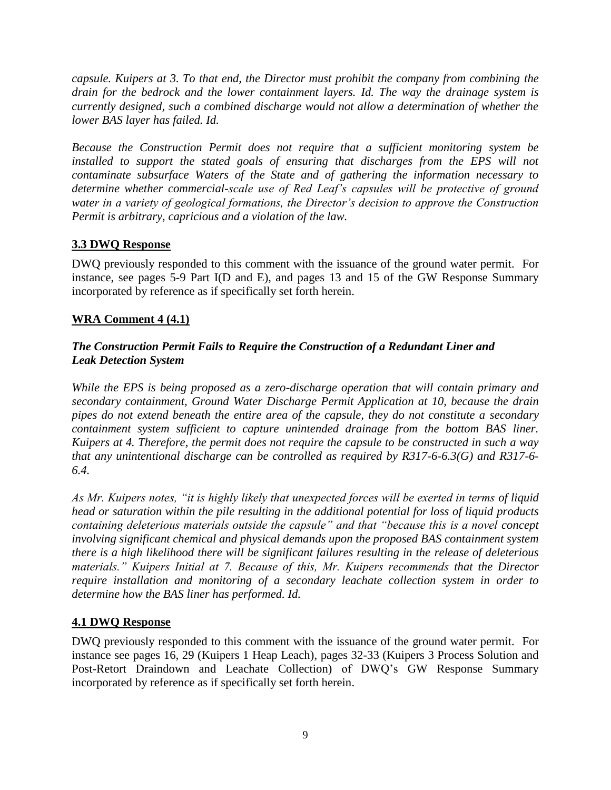*capsule. Kuipers at 3. To that end, the Director must prohibit the company from combining the drain for the bedrock and the lower containment layers. Id. The way the drainage system is currently designed, such a combined discharge would not allow a determination of whether the lower BAS layer has failed. Id.*

*Because the Construction Permit does not require that a sufficient monitoring system be installed to support the stated goals of ensuring that discharges from the EPS will not contaminate subsurface Waters of the State and of gathering the information necessary to determine whether commercial-scale use of Red Leaf's capsules will be protective of ground water in a variety of geological formations, the Director's decision to approve the Construction Permit is arbitrary, capricious and a violation of the law.*

## **3.3 DWQ Response**

DWQ previously responded to this comment with the issuance of the ground water permit. For instance, see pages 5-9 Part I(D and E), and pages 13 and 15 of the GW Response Summary incorporated by reference as if specifically set forth herein.

## **WRA Comment 4 (4.1)**

## *The Construction Permit Fails to Require the Construction of a Redundant Liner and Leak Detection System*

*While the EPS is being proposed as a zero-discharge operation that will contain primary and secondary containment, Ground Water Discharge Permit Application at 10, because the drain pipes do not extend beneath the entire area of the capsule, they do not constitute a secondary containment system sufficient to capture unintended drainage from the bottom BAS liner. Kuipers at 4. Therefore, the permit does not require the capsule to be constructed in such a way that any unintentional discharge can be controlled as required by R317-6-6.3(G) and R317-6- 6.4.*

*As Mr. Kuipers notes, "it is highly likely that unexpected forces will be exerted in terms of liquid head or saturation within the pile resulting in the additional potential for loss of liquid products containing deleterious materials outside the capsule" and that "because this is a novel concept involving significant chemical and physical demands upon the proposed BAS containment system there is a high likelihood there will be significant failures resulting in the release of deleterious materials." Kuipers Initial at 7. Because of this, Mr. Kuipers recommends that the Director require installation and monitoring of a secondary leachate collection system in order to determine how the BAS liner has performed. Id.*

## **4.1 DWQ Response**

DWQ previously responded to this comment with the issuance of the ground water permit. For instance see pages 16, 29 (Kuipers 1 Heap Leach), pages 32-33 (Kuipers 3 Process Solution and Post-Retort Draindown and Leachate Collection) of DWQ's GW Response Summary incorporated by reference as if specifically set forth herein.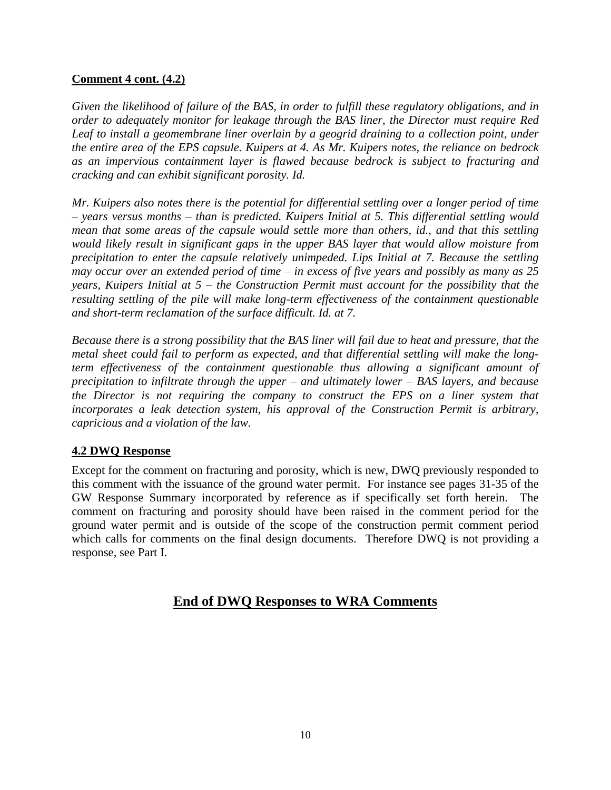#### **Comment 4 cont. (4.2)**

*Given the likelihood of failure of the BAS, in order to fulfill these regulatory obligations, and in order to adequately monitor for leakage through the BAS liner, the Director must require Red Leaf to install a geomembrane liner overlain by a geogrid draining to a collection point, under the entire area of the EPS capsule. Kuipers at 4. As Mr. Kuipers notes, the reliance on bedrock as an impervious containment layer is flawed because bedrock is subject to fracturing and cracking and can exhibit significant porosity. Id.*

*Mr. Kuipers also notes there is the potential for differential settling over a longer period of time – years versus months – than is predicted. Kuipers Initial at 5. This differential settling would mean that some areas of the capsule would settle more than others, id., and that this settling would likely result in significant gaps in the upper BAS layer that would allow moisture from precipitation to enter the capsule relatively unimpeded. Lips Initial at 7. Because the settling may occur over an extended period of time – in excess of five years and possibly as many as 25 years, Kuipers Initial at 5 – the Construction Permit must account for the possibility that the resulting settling of the pile will make long-term effectiveness of the containment questionable and short-term reclamation of the surface difficult. Id. at 7.*

*Because there is a strong possibility that the BAS liner will fail due to heat and pressure, that the metal sheet could fail to perform as expected, and that differential settling will make the longterm effectiveness of the containment questionable thus allowing a significant amount of precipitation to infiltrate through the upper – and ultimately lower – BAS layers, and because the Director is not requiring the company to construct the EPS on a liner system that incorporates a leak detection system, his approval of the Construction Permit is arbitrary, capricious and a violation of the law.*

## **4.2 DWQ Response**

Except for the comment on fracturing and porosity, which is new, DWQ previously responded to this comment with the issuance of the ground water permit. For instance see pages 31-35 of the GW Response Summary incorporated by reference as if specifically set forth herein. The comment on fracturing and porosity should have been raised in the comment period for the ground water permit and is outside of the scope of the construction permit comment period which calls for comments on the final design documents. Therefore DWQ is not providing a response, see Part I.

## **End of DWQ Responses to WRA Comments**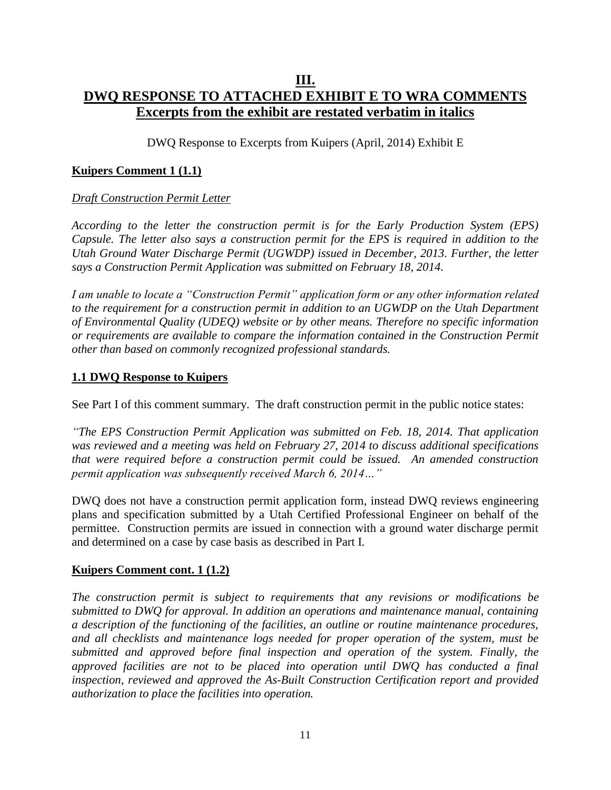## **III. DWQ RESPONSE TO ATTACHED EXHIBIT E TO WRA COMMENTS Excerpts from the exhibit are restated verbatim in italics**

DWQ Response to Excerpts from Kuipers (April, 2014) Exhibit E

### **Kuipers Comment 1 (1.1)**

#### *Draft Construction Permit Letter*

*According to the letter the construction permit is for the Early Production System (EPS) Capsule. The letter also says a construction permit for the EPS is required in addition to the Utah Ground Water Discharge Permit (UGWDP) issued in December, 2013. Further, the letter says a Construction Permit Application was submitted on February 18, 2014.*

*I am unable to locate a "Construction Permit" application form or any other information related to the requirement for a construction permit in addition to an UGWDP on the Utah Department of Environmental Quality (UDEQ) website or by other means. Therefore no specific information or requirements are available to compare the information contained in the Construction Permit other than based on commonly recognized professional standards.*

#### **1.1 DWQ Response to Kuipers**

See Part I of this comment summary. The draft construction permit in the public notice states:

*"The EPS Construction Permit Application was submitted on Feb. 18, 2014. That application was reviewed and a meeting was held on February 27, 2014 to discuss additional specifications that were required before a construction permit could be issued. An amended construction permit application was subsequently received March 6, 2014…"*

DWQ does not have a construction permit application form, instead DWQ reviews engineering plans and specification submitted by a Utah Certified Professional Engineer on behalf of the permittee. Construction permits are issued in connection with a ground water discharge permit and determined on a case by case basis as described in Part I.

#### **Kuipers Comment cont. 1 (1.2)**

*The construction permit is subject to requirements that any revisions or modifications be submitted to DWQ for approval. In addition an operations and maintenance manual, containing a description of the functioning of the facilities, an outline or routine maintenance procedures, and all checklists and maintenance logs needed for proper operation of the system, must be submitted and approved before final inspection and operation of the system. Finally, the approved facilities are not to be placed into operation until DWQ has conducted a final inspection, reviewed and approved the As-Built Construction Certification report and provided authorization to place the facilities into operation.*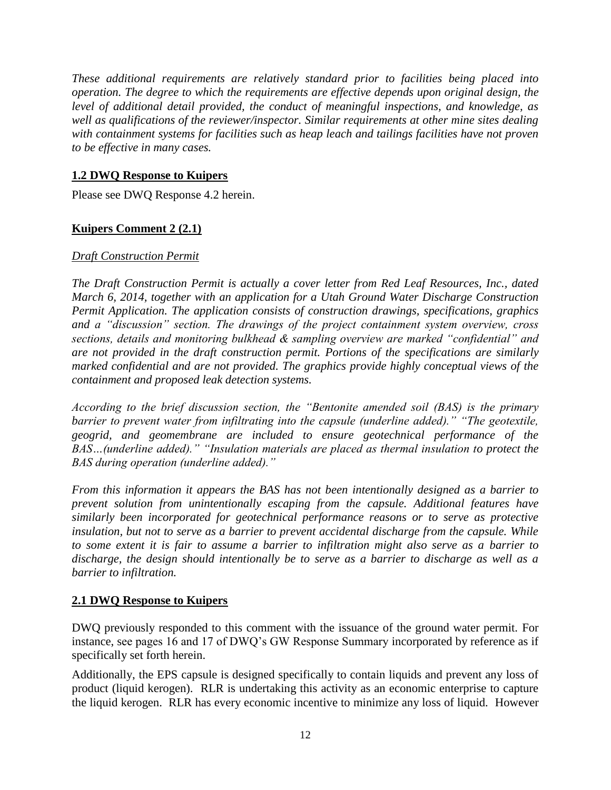*These additional requirements are relatively standard prior to facilities being placed into operation. The degree to which the requirements are effective depends upon original design, the level of additional detail provided, the conduct of meaningful inspections, and knowledge, as well as qualifications of the reviewer/inspector. Similar requirements at other mine sites dealing with containment systems for facilities such as heap leach and tailings facilities have not proven to be effective in many cases.*

## **1.2 DWQ Response to Kuipers**

Please see DWQ Response 4.2 herein.

## **Kuipers Comment 2 (2.1)**

## *Draft Construction Permit*

*The Draft Construction Permit is actually a cover letter from Red Leaf Resources, Inc., dated March 6, 2014, together with an application for a Utah Ground Water Discharge Construction Permit Application. The application consists of construction drawings, specifications, graphics and a "discussion" section. The drawings of the project containment system overview, cross sections, details and monitoring bulkhead & sampling overview are marked "confidential" and are not provided in the draft construction permit. Portions of the specifications are similarly marked confidential and are not provided. The graphics provide highly conceptual views of the containment and proposed leak detection systems.*

*According to the brief discussion section, the "Bentonite amended soil (BAS) is the primary*  barrier to prevent water from infiltrating into the capsule (underline added)." "The geotextile, *geogrid, and geomembrane are included to ensure geotechnical performance of the BAS…(underline added)." "Insulation materials are placed as thermal insulation to protect the BAS during operation (underline added)."*

*From this information it appears the BAS has not been intentionally designed as a barrier to prevent solution from unintentionally escaping from the capsule. Additional features have similarly been incorporated for geotechnical performance reasons or to serve as protective insulation, but not to serve as a barrier to prevent accidental discharge from the capsule. While to some extent it is fair to assume a barrier to infiltration might also serve as a barrier to discharge, the design should intentionally be to serve as a barrier to discharge as well as a barrier to infiltration.*

## **2.1 DWQ Response to Kuipers**

DWQ previously responded to this comment with the issuance of the ground water permit. For instance, see pages 16 and 17 of DWQ's GW Response Summary incorporated by reference as if specifically set forth herein.

Additionally, the EPS capsule is designed specifically to contain liquids and prevent any loss of product (liquid kerogen). RLR is undertaking this activity as an economic enterprise to capture the liquid kerogen. RLR has every economic incentive to minimize any loss of liquid. However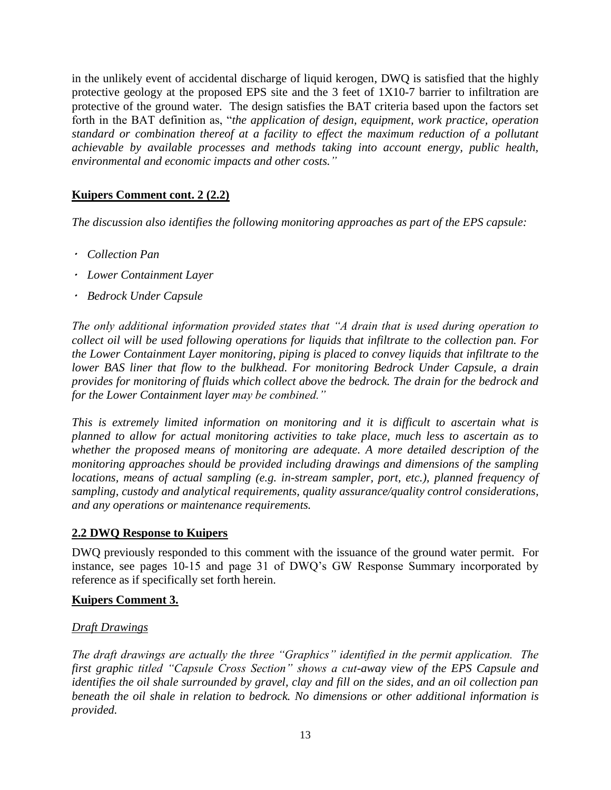in the unlikely event of accidental discharge of liquid kerogen, DWQ is satisfied that the highly protective geology at the proposed EPS site and the 3 feet of 1X10-7 barrier to infiltration are protective of the ground water. The design satisfies the BAT criteria based upon the factors set forth in the BAT definition as, "*the application of design, equipment, work practice, operation standard or combination thereof at a facility to effect the maximum reduction of a pollutant achievable by available processes and methods taking into account energy, public health, environmental and economic impacts and other costs."*

## **Kuipers Comment cont. 2 (2.2)**

*The discussion also identifies the following monitoring approaches as part of the EPS capsule:*

- *Collection Pan*
- *Lower Containment Layer*
- *Bedrock Under Capsule*

*The only additional information provided states that "A drain that is used during operation to collect oil will be used following operations for liquids that infiltrate to the collection pan. For the Lower Containment Layer monitoring, piping is placed to convey liquids that infiltrate to the lower BAS liner that flow to the bulkhead. For monitoring Bedrock Under Capsule, a drain provides for monitoring of fluids which collect above the bedrock. The drain for the bedrock and for the Lower Containment layer may be combined."*

*This is extremely limited information on monitoring and it is difficult to ascertain what is planned to allow for actual monitoring activities to take place, much less to ascertain as to whether the proposed means of monitoring are adequate. A more detailed description of the monitoring approaches should be provided including drawings and dimensions of the sampling locations, means of actual sampling (e.g. in-stream sampler, port, etc.), planned frequency of sampling, custody and analytical requirements, quality assurance/quality control considerations, and any operations or maintenance requirements.*

#### **2.2 DWQ Response to Kuipers**

DWQ previously responded to this comment with the issuance of the ground water permit. For instance, see pages 10-15 and page 31 of DWQ's GW Response Summary incorporated by reference as if specifically set forth herein.

#### **Kuipers Comment 3.**

## *Draft Drawings*

*The draft drawings are actually the three "Graphics" identified in the permit application. The first graphic titled "Capsule Cross Section" shows a cut-away view of the EPS Capsule and identifies the oil shale surrounded by gravel, clay and fill on the sides, and an oil collection pan beneath the oil shale in relation to bedrock. No dimensions or other additional information is provided.*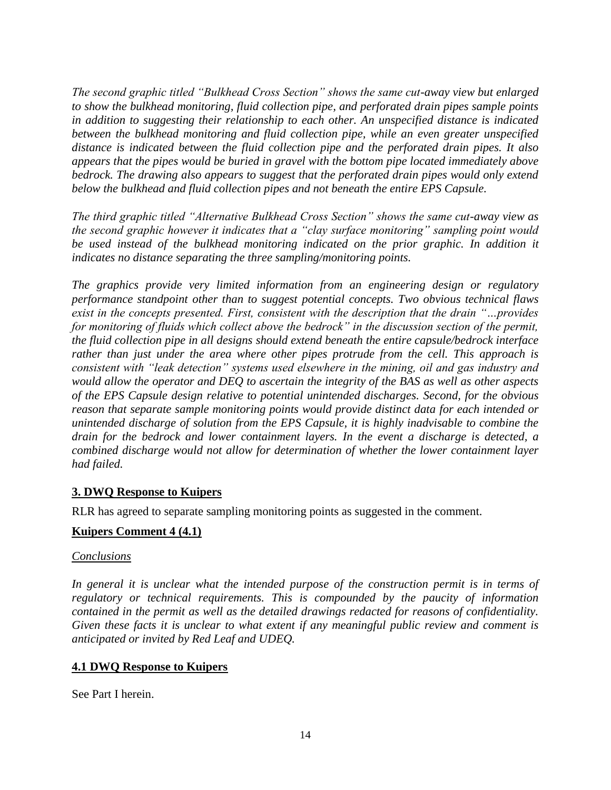*The second graphic titled "Bulkhead Cross Section" shows the same cut-away view but enlarged to show the bulkhead monitoring, fluid collection pipe, and perforated drain pipes sample points in addition to suggesting their relationship to each other. An unspecified distance is indicated between the bulkhead monitoring and fluid collection pipe, while an even greater unspecified distance is indicated between the fluid collection pipe and the perforated drain pipes. It also appears that the pipes would be buried in gravel with the bottom pipe located immediately above bedrock. The drawing also appears to suggest that the perforated drain pipes would only extend below the bulkhead and fluid collection pipes and not beneath the entire EPS Capsule.* 

*The third graphic titled "Alternative Bulkhead Cross Section" shows the same cut-away view as the second graphic however it indicates that a "clay surface monitoring" sampling point would be used instead of the bulkhead monitoring indicated on the prior graphic. In addition it indicates no distance separating the three sampling/monitoring points.* 

*The graphics provide very limited information from an engineering design or regulatory performance standpoint other than to suggest potential concepts. Two obvious technical flaws exist in the concepts presented. First, consistent with the description that the drain "…provides for monitoring of fluids which collect above the bedrock" in the discussion section of the permit, the fluid collection pipe in all designs should extend beneath the entire capsule/bedrock interface rather than just under the area where other pipes protrude from the cell. This approach is consistent with "leak detection" systems used elsewhere in the mining, oil and gas industry and would allow the operator and DEQ to ascertain the integrity of the BAS as well as other aspects of the EPS Capsule design relative to potential unintended discharges. Second, for the obvious reason that separate sample monitoring points would provide distinct data for each intended or unintended discharge of solution from the EPS Capsule, it is highly inadvisable to combine the drain for the bedrock and lower containment layers. In the event a discharge is detected, a combined discharge would not allow for determination of whether the lower containment layer had failed.*

## **3. DWQ Response to Kuipers**

RLR has agreed to separate sampling monitoring points as suggested in the comment.

## **Kuipers Comment 4 (4.1)**

#### *Conclusions*

In general it is unclear what the intended purpose of the construction permit is in terms of *regulatory or technical requirements. This is compounded by the paucity of information contained in the permit as well as the detailed drawings redacted for reasons of confidentiality. Given these facts it is unclear to what extent if any meaningful public review and comment is anticipated or invited by Red Leaf and UDEQ.*

## **4.1 DWQ Response to Kuipers**

See Part I herein.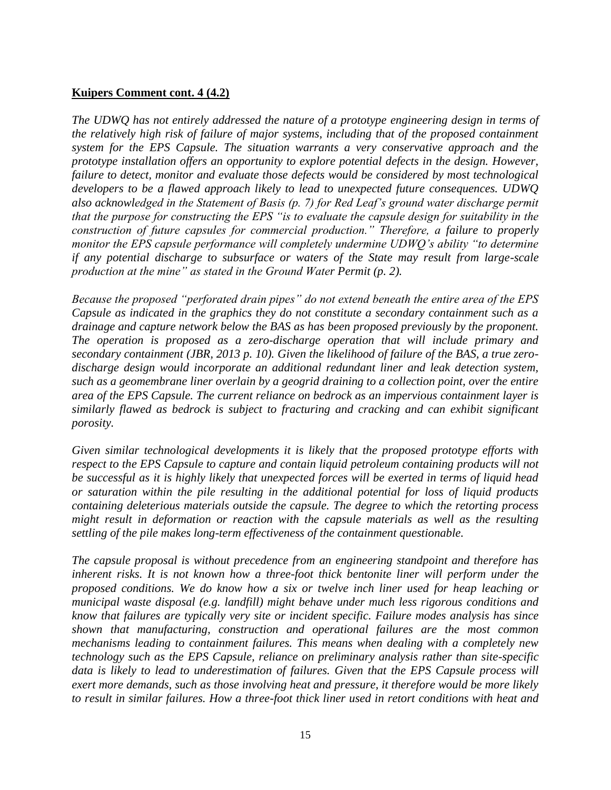#### **Kuipers Comment cont. 4 (4.2)**

*The UDWQ has not entirely addressed the nature of a prototype engineering design in terms of the relatively high risk of failure of major systems, including that of the proposed containment system for the EPS Capsule. The situation warrants a very conservative approach and the prototype installation offers an opportunity to explore potential defects in the design. However, failure to detect, monitor and evaluate those defects would be considered by most technological developers to be a flawed approach likely to lead to unexpected future consequences. UDWQ also acknowledged in the Statement of Basis (p. 7) for Red Leaf's ground water discharge permit that the purpose for constructing the EPS "is to evaluate the capsule design for suitability in the construction of future capsules for commercial production." Therefore, a failure to properly monitor the EPS capsule performance will completely undermine UDWQ's ability "to determine if any potential discharge to subsurface or waters of the State may result from large-scale production at the mine" as stated in the Ground Water Permit (p. 2).*

*Because the proposed "perforated drain pipes" do not extend beneath the entire area of the EPS Capsule as indicated in the graphics they do not constitute a secondary containment such as a drainage and capture network below the BAS as has been proposed previously by the proponent. The operation is proposed as a zero-discharge operation that will include primary and secondary containment (JBR, 2013 p. 10). Given the likelihood of failure of the BAS, a true zerodischarge design would incorporate an additional redundant liner and leak detection system, such as a geomembrane liner overlain by a geogrid draining to a collection point, over the entire area of the EPS Capsule. The current reliance on bedrock as an impervious containment layer is similarly flawed as bedrock is subject to fracturing and cracking and can exhibit significant porosity.*

*Given similar technological developments it is likely that the proposed prototype efforts with respect to the EPS Capsule to capture and contain liquid petroleum containing products will not be successful as it is highly likely that unexpected forces will be exerted in terms of liquid head or saturation within the pile resulting in the additional potential for loss of liquid products containing deleterious materials outside the capsule. The degree to which the retorting process might result in deformation or reaction with the capsule materials as well as the resulting settling of the pile makes long-term effectiveness of the containment questionable.*

*The capsule proposal is without precedence from an engineering standpoint and therefore has inherent risks. It is not known how a three-foot thick bentonite liner will perform under the proposed conditions. We do know how a six or twelve inch liner used for heap leaching or municipal waste disposal (e.g. landfill) might behave under much less rigorous conditions and know that failures are typically very site or incident specific. Failure modes analysis has since shown that manufacturing, construction and operational failures are the most common mechanisms leading to containment failures. This means when dealing with a completely new technology such as the EPS Capsule, reliance on preliminary analysis rather than site-specific data is likely to lead to underestimation of failures. Given that the EPS Capsule process will exert more demands, such as those involving heat and pressure, it therefore would be more likely to result in similar failures. How a three-foot thick liner used in retort conditions with heat and*